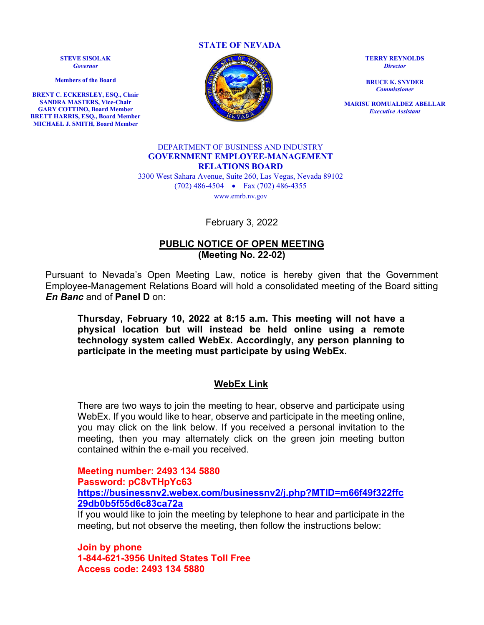**STATE OF NEVADA**

**STEVE SISOLAK** *Governor*

**Members of the Board**

**BRENT C. ECKERSLEY, ESQ., Chair SANDRA MASTERS, Vice-Chair GARY COTTINO, Board Member BRETT HARRIS, ESQ., Board Member MICHAEL J. SMITH, Board Member**



**TERRY REYNOLDS** *Director*

**BRUCE K. SNYDER** *Commissioner*

**MARISU ROMUALDEZ ABELLAR** *Executive Assistant*

#### DEPARTMENT OF BUSINESS AND INDUSTRY **GOVERNMENT EMPLOYEE-MANAGEMENT RELATIONS BOARD**

3300 West Sahara Avenue, Suite 260, Las Vegas, Nevada 89102 (702) 486-4504 • Fax (702) 486-4355 www.emrb.nv.gov

February 3, 2022

#### **PUBLIC NOTICE OF OPEN MEETING (Meeting No. 22-02)**

Pursuant to Nevada's Open Meeting Law, notice is hereby given that the Government Employee-Management Relations Board will hold a consolidated meeting of the Board sitting *En Banc* and of **Panel D** on:

**Thursday, February 10, 2022 at 8:15 a.m. This meeting will not have a physical location but will instead be held online using a remote technology system called WebEx. Accordingly, any person planning to participate in the meeting must participate by using WebEx.** 

#### **WebEx Link**

There are two ways to join the meeting to hear, observe and participate using WebEx. If you would like to hear, observe and participate in the meeting online, you may click on the link below. If you received a personal invitation to the meeting, then you may alternately click on the green join meeting button contained within the e-mail you received.

**Meeting number: 2493 134 5880 Password: pC8vTHpYc63 [https://businessnv2.webex.com/businessnv2/j.php?MTID=m66f49f322ffc](https://businessnv2.webex.com/businessnv2/j.php?MTID=m66f49f322ffc29db0b5f55d6c83ca72a) [29db0b5f55d6c83ca72a](https://businessnv2.webex.com/businessnv2/j.php?MTID=m66f49f322ffc29db0b5f55d6c83ca72a)**

If you would like to join the meeting by telephone to hear and participate in the meeting, but not observe the meeting, then follow the instructions below:

**Join by phone 1-844-621-3956 United States Toll Free Access code: 2493 134 5880**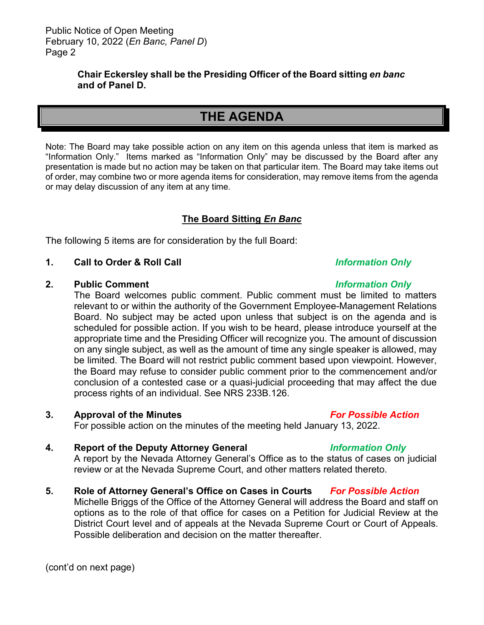#### **Chair Eckersley shall be the Presiding Officer of the Board sitting** *en banc* **and of Panel D.**

# **THE AGENDA**

Note: The Board may take possible action on any item on this agenda unless that item is marked as "Information Only." Items marked as "Information Only" may be discussed by the Board after any presentation is made but no action may be taken on that particular item. The Board may take items out of order, may combine two or more agenda items for consideration, may remove items from the agenda or may delay discussion of any item at any time.

# **The Board Sitting** *En Banc*

The following 5 items are for consideration by the full Board:

### **1. Call to Order & Roll Call** *Information Only*

#### **2. Public Comment** *Information Only*

The Board welcomes public comment. Public comment must be limited to matters relevant to or within the authority of the Government Employee-Management Relations Board. No subject may be acted upon unless that subject is on the agenda and is scheduled for possible action. If you wish to be heard, please introduce yourself at the appropriate time and the Presiding Officer will recognize you. The amount of discussion on any single subject, as well as the amount of time any single speaker is allowed, may be limited. The Board will not restrict public comment based upon viewpoint. However, the Board may refuse to consider public comment prior to the commencement and/or conclusion of a contested case or a quasi-judicial proceeding that may affect the due process rights of an individual. See NRS 233B.126.

#### **3. Approval of the Minutes** *For Possible Action*

For possible action on the minutes of the meeting held January 13, 2022.

### **4. Report of the Deputy Attorney General** *Information Only*

A report by the Nevada Attorney General's Office as to the status of cases on judicial review or at the Nevada Supreme Court, and other matters related thereto.

**5. Role of Attorney General's Office on Cases in Courts** *For Possible Action* Michelle Briggs of the Office of the Attorney General will address the Board and staff on options as to the role of that office for cases on a Petition for Judicial Review at the District Court level and of appeals at the Nevada Supreme Court or Court of Appeals. Possible deliberation and decision on the matter thereafter.

(cont'd on next page)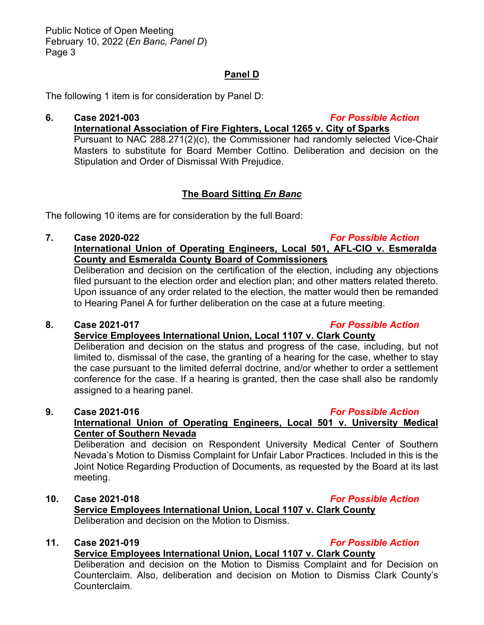## **Panel D**

The following 1 item is for consideration by Panel D:

**6. Case 2021-003** *For Possible Action* **International Association of Fire Fighters, Local 1265 v. City of Sparks** Pursuant to NAC 288.271(2)(c), the Commissioner had randomly selected Vice-Chair Masters to substitute for Board Member Cottino. Deliberation and decision on the Stipulation and Order of Dismissal With Prejudice.

# **The Board Sitting** *En Banc*

The following 10 items are for consideration by the full Board:

#### **7. Case 2020-022** *For Possible Action*

## **International Union of Operating Engineers, Local 501, AFL-CIO v. Esmeralda County and Esmeralda County Board of Commissioners**

Deliberation and decision on the certification of the election, including any objections filed pursuant to the election order and election plan; and other matters related thereto. Upon issuance of any order related to the election, the matter would then be remanded to Hearing Panel A for further deliberation on the case at a future meeting.

#### **8. Case 2021-017** *For Possible Action*

### **Service Employees International Union, Local 1107 v. Clark County**

Deliberation and decision on the status and progress of the case, including, but not limited to, dismissal of the case, the granting of a hearing for the case, whether to stay the case pursuant to the limited deferral doctrine, and/or whether to order a settlement conference for the case. If a hearing is granted, then the case shall also be randomly assigned to a hearing panel.

# **9. Case 2021-016** *For Possible Action*

## **International Union of Operating Engineers, Local 501 v. University Medical Center of Southern Nevada**

Deliberation and decision on Respondent University Medical Center of Southern Nevada's Motion to Dismiss Complaint for Unfair Labor Practices. Included in this is the Joint Notice Regarding Production of Documents, as requested by the Board at its last meeting.

#### **10. Case 2021-018** *For Possible Action*

## **Service Employees International Union, Local 1107 v. Clark County** Deliberation and decision on the Motion to Dismiss.

# **11. Case 2021-019** *For Possible Action*

# **Service Employees International Union, Local 1107 v. Clark County**

Deliberation and decision on the Motion to Dismiss Complaint and for Decision on Counterclaim. Also, deliberation and decision on Motion to Dismiss Clark County's Counterclaim.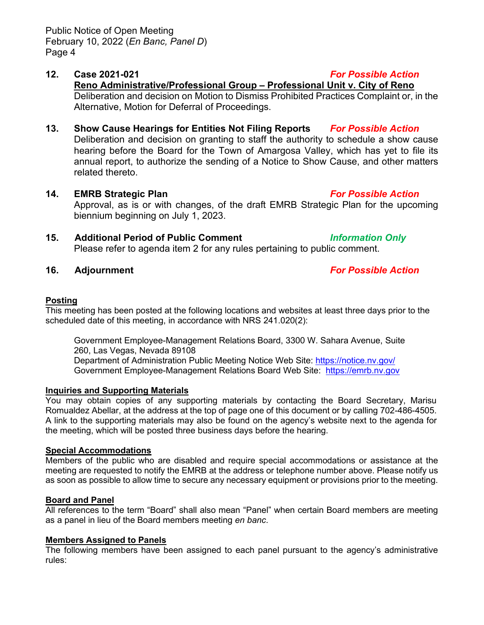## **12. Case 2021-021** *For Possible Action*

# **Reno Administrative/Professional Group – Professional Unit v. City of Reno**

Deliberation and decision on Motion to Dismiss Prohibited Practices Complaint or, in the Alternative, Motion for Deferral of Proceedings.

- **13. Show Cause Hearings for Entities Not Filing Reports** *For Possible Action* Deliberation and decision on granting to staff the authority to schedule a show cause hearing before the Board for the Town of Amargosa Valley, which has yet to file its annual report, to authorize the sending of a Notice to Show Cause, and other matters related thereto.
- **14. EMRB Strategic Plan** *For Possible Action* Approval, as is or with changes, of the draft EMRB Strategic Plan for the upcoming biennium beginning on July 1, 2023.
- **15. Additional Period of Public Comment** *Information Only* Please refer to agenda item 2 for any rules pertaining to public comment.
- 

# **16. Adjournment** *For Possible Action*

## **Posting**

This meeting has been posted at the following locations and websites at least three days prior to the scheduled date of this meeting, in accordance with NRS 241.020(2):

Government Employee-Management Relations Board, 3300 W. Sahara Avenue, Suite 260, Las Vegas, Nevada 89108 Department of Administration Public Meeting Notice Web Site:<https://notice.nv.gov/> Government Employee-Management Relations Board Web Site: [https://emrb.nv.gov](https://emrb.nv.gov/)

### **Inquiries and Supporting Materials**

You may obtain copies of any supporting materials by contacting the Board Secretary, Marisu Romualdez Abellar, at the address at the top of page one of this document or by calling 702-486-4505. A link to the supporting materials may also be found on the agency's website next to the agenda for the meeting, which will be posted three business days before the hearing.

# **Special Accommodations**

Members of the public who are disabled and require special accommodations or assistance at the meeting are requested to notify the EMRB at the address or telephone number above. Please notify us as soon as possible to allow time to secure any necessary equipment or provisions prior to the meeting.

# **Board and Panel**

All references to the term "Board" shall also mean "Panel" when certain Board members are meeting as a panel in lieu of the Board members meeting *en banc*.

# **Members Assigned to Panels**

The following members have been assigned to each panel pursuant to the agency's administrative rules: